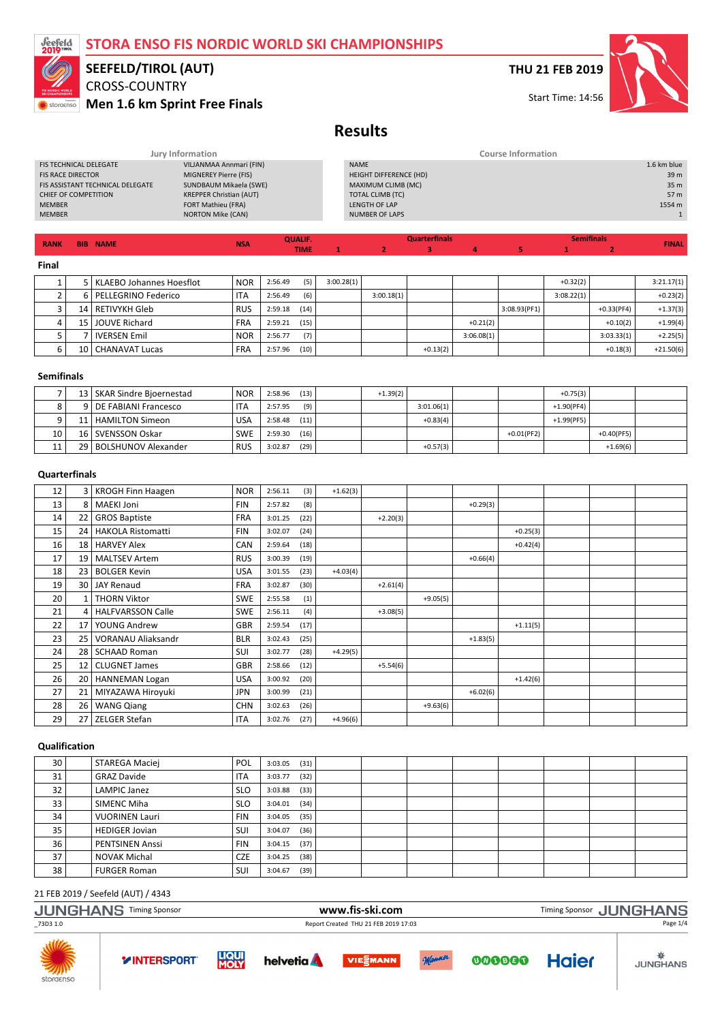

## CROSS-COUNTRY SEEFELD/TIROL (AUT)

Men 1.6 km Sprint Free Finals

## THU 21 FEB 2019



Start Time: 14:56

# Results

| <b>BIB NAME</b><br><b>RANK</b>   | QUALIF.<br><b>NSA</b><br><b>TIME</b> | <b>Quarterfinals</b>   | <b>Semifinals</b><br><b>FINAL</b> |
|----------------------------------|--------------------------------------|------------------------|-----------------------------------|
|                                  |                                      |                        |                                   |
| <b>MEMBER</b>                    | <b>NORTON Mike (CAN)</b>             | <b>NUMBER OF LAPS</b>  |                                   |
| <b>MEMBER</b>                    | <b>FORT Mathieu (FRA)</b>            | LENGTH OF LAP          | 1554 m                            |
| CHIEF OF COMPETITION             | <b>KREPPER Christian (AUT)</b>       | TOTAL CLIMB (TC)       | 57 m                              |
| FIS ASSISTANT TECHNICAL DELEGATE | SUNDBAUM Mikaela (SWE)               | MAXIMUM CLIMB (MC)     | 35 <sub>m</sub>                   |
| <b>FIS RACE DIRECTOR</b>         | MIGNEREY Pierre (FIS)                | HEIGHT DIFFERENCE (HD) | 39 <sub>m</sub>                   |
| <b>FIS TECHNICAL DELEGATE</b>    | VILJANMAA Annmari (FIN)              | <b>NAME</b>            | 1.6 km blue                       |
|                                  | Jury Information                     |                        | <b>Course Information</b>         |

TIME

#### Final

|   | l KLAEBO Johannes Hoesflot | <b>NOR</b> | 2:56.49 | (5)  | 3:00.28(1) |            |            |            |              | $+0.32(2)$ |              | 3:21.17(1)  |
|---|----------------------------|------------|---------|------|------------|------------|------------|------------|--------------|------------|--------------|-------------|
|   | l PELLEGRINO Federico      | <b>ITA</b> | 2:56.49 | (6)  |            | 3:00.18(1) |            |            |              | 3:08.22(1) |              | $+0.23(2)$  |
|   | 14   RETIVYKH Gleb         | <b>RUS</b> | 2:59.18 | (14) |            |            |            |            | 3:08.93(PF1) |            | $+0.33(PF4)$ | $+1.37(3)$  |
|   | 15 JOUVE Richard           | <b>FRA</b> | 2:59.21 | (15) |            |            |            | $+0.21(2)$ |              |            | $+0.10(2)$   | $+1.99(4)$  |
|   | <b>IVERSEN Emil</b>        | <b>NOR</b> | 2:56.77 | (7)  |            |            |            | 3:06.08(1) |              |            | 3:03.33(1)   | $+2.25(5)$  |
| b | 10   CHANAVAT Lucas        | <b>FRA</b> | 2:57.96 | (10) |            |            | $+0.13(2)$ |            |              |            | $+0.18(3)$   | $+21.50(6)$ |

1 2 3 4 5

#### Semifinals

|    | 13   SKAR Sindre Bioernestad | <b>NOR</b> | 2:58.96 | (13) | $+1.39(2)$ |            |               | $+0.75(3)$    |              |  |
|----|------------------------------|------------|---------|------|------------|------------|---------------|---------------|--------------|--|
|    | 9   DE FABIANI Francesco     | <b>ITA</b> | 2:57.95 | (9)  |            | 3:01.06(1) |               | $+1.90(PF4)$  |              |  |
|    | 11   HAMILTON Simeon         | <b>USA</b> | 2:58.48 | (11) |            | $+0.83(4)$ |               | $+1.99$ (PF5) |              |  |
| 10 | 16 SVENSSON Oskar            | <b>SWE</b> | 2:59.30 | (16) |            |            | $+0.01$ (PF2) |               | $+0.40(PF5)$ |  |
|    | 29   BOLSHUNOV Alexander     | <b>RUS</b> | 3:02.87 | (29) |            | $+0.57(3)$ |               |               | $+1.69(6)$   |  |

## **Ouarterfinals**

| 12 |                 | 3   KROGH Finn Haagen    | <b>NOR</b> | 2:56.11 | (3)  | $+1.62(3)$ |            |            |            |            |  |  |
|----|-----------------|--------------------------|------------|---------|------|------------|------------|------------|------------|------------|--|--|
| 13 | 8               | <b>MAEKI Joni</b>        | <b>FIN</b> | 2:57.82 | (8)  |            |            |            | $+0.29(3)$ |            |  |  |
| 14 | 22              | <b>GROS Baptiste</b>     | <b>FRA</b> | 3:01.25 | (22) |            | $+2.20(3)$ |            |            |            |  |  |
| 15 | 24              | <b>HAKOLA Ristomatti</b> | <b>FIN</b> | 3:02.07 | (24) |            |            |            |            | $+0.25(3)$ |  |  |
| 16 | 18              | <b>HARVEY Alex</b>       | CAN        | 2:59.64 | (18) |            |            |            |            | $+0.42(4)$ |  |  |
| 17 | 19              | <b>MALTSEV Artem</b>     | <b>RUS</b> | 3:00.39 | (19) |            |            |            | $+0.66(4)$ |            |  |  |
| 18 | 23              | <b>BOLGER Kevin</b>      | <b>USA</b> | 3:01.55 | (23) | $+4.03(4)$ |            |            |            |            |  |  |
| 19 | 30 l            | <b>JAY Renaud</b>        | <b>FRA</b> | 3:02.87 | (30) |            | $+2.61(4)$ |            |            |            |  |  |
| 20 |                 | <b>THORN Viktor</b>      | <b>SWE</b> | 2:55.58 | (1)  |            |            | $+9.05(5)$ |            |            |  |  |
| 21 | 4               | <b>HALFVARSSON Calle</b> | <b>SWE</b> | 2:56.11 | (4)  |            | $+3.08(5)$ |            |            |            |  |  |
| 22 | 17              | YOUNG Andrew             | GBR        | 2:59.54 | (17) |            |            |            |            | $+1.11(5)$ |  |  |
| 23 | 25              | VORANAU Aliaksandr       | <b>BLR</b> | 3:02.43 | (25) |            |            |            | $+1.83(5)$ |            |  |  |
| 24 | 28              | <b>SCHAAD Roman</b>      | SUI        | 3:02.77 | (28) | $+4.29(5)$ |            |            |            |            |  |  |
| 25 | 12 <sup>1</sup> | <b>CLUGNET James</b>     | <b>GBR</b> | 2:58.66 | (12) |            | $+5.54(6)$ |            |            |            |  |  |
| 26 | 20 <sub>1</sub> | <b>HANNEMAN Logan</b>    | <b>USA</b> | 3:00.92 | (20) |            |            |            |            | $+1.42(6)$ |  |  |
| 27 | 21              | MIYAZAWA Hiroyuki        | <b>JPN</b> | 3:00.99 | (21) |            |            |            | $+6.02(6)$ |            |  |  |
| 28 | 26              | <b>WANG Qiang</b>        | <b>CHN</b> | 3:02.63 | (26) |            |            | $+9.63(6)$ |            |            |  |  |
| 29 | 27              | <b>ZELGER Stefan</b>     | <b>ITA</b> | 3:02.76 | (27) | $+4.96(6)$ |            |            |            |            |  |  |

#### Qualification

| 30 | STAREGA Maciej         | POL        | 3:03.05 | (31) |  |  |  |  |
|----|------------------------|------------|---------|------|--|--|--|--|
| 31 | <b>GRAZ Davide</b>     | <b>ITA</b> | 3:03.77 | (32) |  |  |  |  |
| 32 | LAMPIC Janez           | <b>SLO</b> | 3:03.88 | (33) |  |  |  |  |
| 33 | <b>SIMENC Miha</b>     | <b>SLO</b> | 3:04.01 | (34) |  |  |  |  |
| 34 | <b>VUORINEN Lauri</b>  | <b>FIN</b> | 3:04.05 | (35) |  |  |  |  |
| 35 | <b>HEDIGER Jovian</b>  | SUI        | 3:04.07 | (36) |  |  |  |  |
| 36 | <b>PENTSINEN Anssi</b> | <b>FIN</b> | 3:04.15 | (37) |  |  |  |  |
| 37 | NOVAK Michal           | <b>CZE</b> | 3:04.25 | (38) |  |  |  |  |
| 38 | <b>FURGER Roman</b>    | SUI        | 3:04.67 | (39) |  |  |  |  |

|           | <b>JUNGHANS Timing Sponsor</b> |                      |                 | www.fis-ski.com                      |        |        |              | Timing Sponsor JUNGHANS |
|-----------|--------------------------------|----------------------|-----------------|--------------------------------------|--------|--------|--------------|-------------------------|
| _73D3 1.0 |                                |                      |                 | Report Created THU 21 FEB 2019 17:03 |        |        |              | Page 1/4                |
|           | <b>YINTERSPORT</b>             | <b>LIQUI</b><br>MOLY | <b>helvetia</b> | <b>VIESMANN</b>                      | Monner | 000000 | <b>Haier</b> | <b>JUNGHANS</b>         |

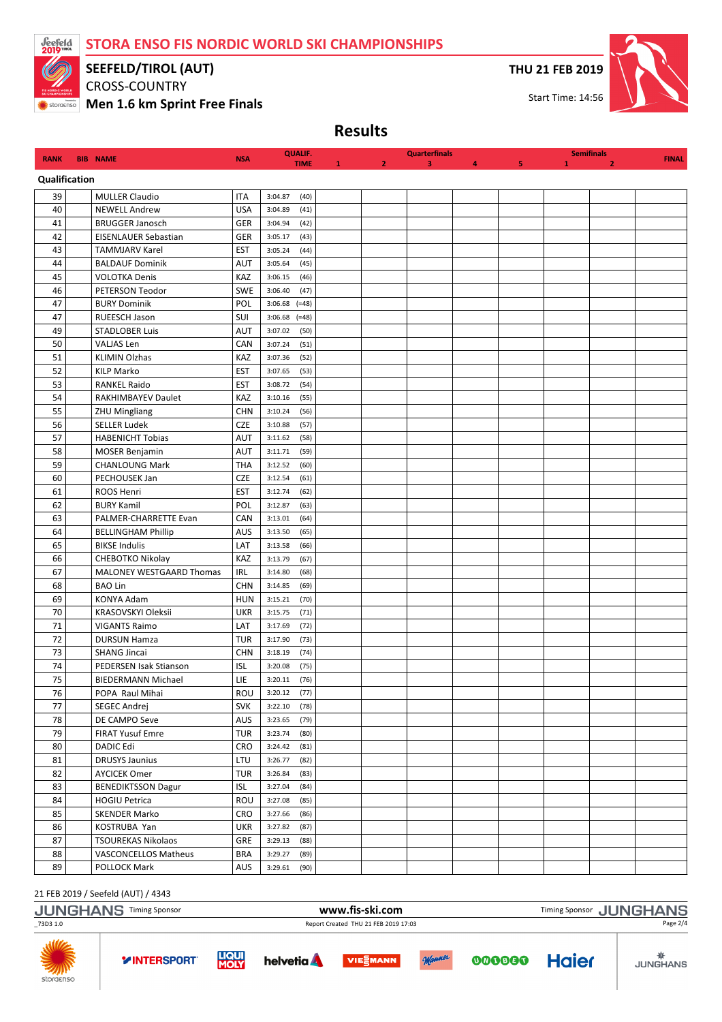

SEEFELD/TIROL (AUT)

CROSS-COUNTRY

Men 1.6 km Sprint Free Finals

THU 21 FEB 2019



Results

| <b>RANK</b>   | <b>BIB NAME</b>                            | <b>NSA</b>        | <b>QUALIF.</b><br><b>TIME</b>      |              |                | <b>Quarterfinals</b><br>3 |   |    | 1 | <b>Semifinals</b> | <b>FINAL</b> |
|---------------|--------------------------------------------|-------------------|------------------------------------|--------------|----------------|---------------------------|---|----|---|-------------------|--------------|
| Qualification |                                            |                   |                                    | $\mathbf{1}$ | $\overline{2}$ |                           | 4 | 5. |   | $\overline{2}$    |              |
| 39            | <b>MULLER Claudio</b>                      | <b>ITA</b>        | 3:04.87<br>(40)                    |              |                |                           |   |    |   |                   |              |
| 40            | <b>NEWELL Andrew</b>                       | <b>USA</b>        | 3:04.89<br>(41)                    |              |                |                           |   |    |   |                   |              |
| 41            | <b>BRUGGER Janosch</b>                     | GER               | 3:04.94<br>(42)                    |              |                |                           |   |    |   |                   |              |
| 42            | EISENLAUER Sebastian                       | <b>GER</b>        | 3:05.17<br>(43)                    |              |                |                           |   |    |   |                   |              |
| 43            | <b>TAMMJARV Karel</b>                      | <b>EST</b>        | 3:05.24<br>(44)                    |              |                |                           |   |    |   |                   |              |
| 44            | <b>BALDAUF Dominik</b>                     | AUT               | 3:05.64<br>(45)                    |              |                |                           |   |    |   |                   |              |
| 45            | <b>VOLOTKA Denis</b>                       | KAZ               | 3:06.15<br>(46)                    |              |                |                           |   |    |   |                   |              |
| 46            | PETERSON Teodor                            | <b>SWE</b>        | 3:06.40<br>(47)                    |              |                |                           |   |    |   |                   |              |
| 47            | <b>BURY Dominik</b>                        | POL               | 3:06.68<br>$(=48)$                 |              |                |                           |   |    |   |                   |              |
| 47            | RUEESCH Jason                              | SUI               | $3:06.68$ (=48)                    |              |                |                           |   |    |   |                   |              |
| 49            | <b>STADLOBER Luis</b>                      | AUT               | 3:07.02<br>(50)                    |              |                |                           |   |    |   |                   |              |
| 50            | <b>VALJAS Len</b>                          | CAN               | 3:07.24<br>(51)                    |              |                |                           |   |    |   |                   |              |
| 51            | <b>KLIMIN Olzhas</b>                       | KAZ               | 3:07.36<br>(52)                    |              |                |                           |   |    |   |                   |              |
| 52            | <b>KILP Marko</b>                          | <b>EST</b>        | 3:07.65<br>(53)                    |              |                |                           |   |    |   |                   |              |
| 53            | <b>RANKEL Raido</b>                        | <b>EST</b>        | 3:08.72<br>(54)                    |              |                |                           |   |    |   |                   |              |
| 54            | RAKHIMBAYEV Daulet                         | KAZ               | 3:10.16<br>(55)                    |              |                |                           |   |    |   |                   |              |
| 55            | ZHU Mingliang                              | <b>CHN</b>        | 3:10.24<br>(56)                    |              |                |                           |   |    |   |                   |              |
| 56            | <b>SELLER Ludek</b>                        | <b>CZE</b>        | 3:10.88<br>(57)                    |              |                |                           |   |    |   |                   |              |
| 57            | <b>HABENICHT Tobias</b>                    | AUT               | 3:11.62<br>(58)                    |              |                |                           |   |    |   |                   |              |
| 58            | <b>MOSER Benjamin</b>                      | <b>AUT</b>        | 3:11.71<br>(59)                    |              |                |                           |   |    |   |                   |              |
| 59            | <b>CHANLOUNG Mark</b>                      | <b>THA</b>        | 3:12.52<br>(60)                    |              |                |                           |   |    |   |                   |              |
| 60            | PECHOUSEK Jan                              | <b>CZE</b>        | 3:12.54<br>(61)                    |              |                |                           |   |    |   |                   |              |
| 61            | ROOS Henri                                 | <b>EST</b>        | 3:12.74<br>(62)                    |              |                |                           |   |    |   |                   |              |
| 62            | <b>BURY Kamil</b>                          | POL               | 3:12.87<br>(63)                    |              |                |                           |   |    |   |                   |              |
| 63            | PALMER-CHARRETTE Evan                      | CAN               | 3:13.01<br>(64)                    |              |                |                           |   |    |   |                   |              |
| 64            | <b>BELLINGHAM Phillip</b>                  | AUS               | 3:13.50<br>(65)                    |              |                |                           |   |    |   |                   |              |
| 65            | <b>BIKSE Indulis</b>                       | LAT               | 3:13.58<br>(66)                    |              |                |                           |   |    |   |                   |              |
| 66            | CHEBOTKO Nikolay                           | KAZ               | 3:13.79<br>(67)                    |              |                |                           |   |    |   |                   |              |
| 67            | <b>MALONEY WESTGAARD Thomas</b>            | <b>IRL</b>        | 3:14.80<br>(68)                    |              |                |                           |   |    |   |                   |              |
| 68            | <b>BAO Lin</b>                             | <b>CHN</b>        | 3:14.85<br>(69)                    |              |                |                           |   |    |   |                   |              |
| 69            | KONYA Adam                                 | <b>HUN</b>        | 3:15.21<br>(70)                    |              |                |                           |   |    |   |                   |              |
| 70            | KRASOVSKYI Oleksii                         | <b>UKR</b>        | 3:15.75<br>(71)                    |              |                |                           |   |    |   |                   |              |
| 71<br>72      | <b>VIGANTS Raimo</b>                       | LAT<br><b>TUR</b> | 3:17.69<br>(72)                    |              |                |                           |   |    |   |                   |              |
| 73            | <b>DURSUN Hamza</b><br><b>SHANG Jincai</b> | <b>CHN</b>        | 3:17.90<br>(73)<br>3:18.19<br>(74) |              |                |                           |   |    |   |                   |              |
| 74            | PEDERSEN Isak Stianson                     | <b>ISL</b>        | 3:20.08<br>(75)                    |              |                |                           |   |    |   |                   |              |
| 75            | <b>BIEDERMANN Michael</b>                  | LIE               | 3:20.11<br>(76)                    |              |                |                           |   |    |   |                   |              |
| $76\,$        | POPA Raul Mihai                            | ROU               | 3:20.12<br>(77)                    |              |                |                           |   |    |   |                   |              |
| 77            | SEGEC Andrej                               | <b>SVK</b>        | 3:22.10<br>(78)                    |              |                |                           |   |    |   |                   |              |
| 78            | DE CAMPO Seve                              | <b>AUS</b>        | 3:23.65<br>(79)                    |              |                |                           |   |    |   |                   |              |
| 79            | <b>FIRAT Yusuf Emre</b>                    | <b>TUR</b>        | 3:23.74<br>(80)                    |              |                |                           |   |    |   |                   |              |
| 80            | <b>DADIC Edi</b>                           | CRO               | 3:24.42<br>(81)                    |              |                |                           |   |    |   |                   |              |
| 81            | <b>DRUSYS Jaunius</b>                      | LTU               | 3:26.77<br>(82)                    |              |                |                           |   |    |   |                   |              |
| 82            | <b>AYCICEK Omer</b>                        | <b>TUR</b>        | (83)<br>3:26.84                    |              |                |                           |   |    |   |                   |              |
| 83            | <b>BENEDIKTSSON Dagur</b>                  | <b>ISL</b>        | 3:27.04<br>(84)                    |              |                |                           |   |    |   |                   |              |
| 84            | <b>HOGIU Petrica</b>                       | ROU               | 3:27.08<br>(85)                    |              |                |                           |   |    |   |                   |              |
| 85            | SKENDER Marko                              | CRO               | (86)<br>3:27.66                    |              |                |                           |   |    |   |                   |              |
| 86            | KOSTRUBA Yan                               | <b>UKR</b>        | 3:27.82<br>(87)                    |              |                |                           |   |    |   |                   |              |
| 87            | <b>TSOUREKAS Nikolaos</b>                  | GRE               | 3:29.13<br>(88)                    |              |                |                           |   |    |   |                   |              |
| 88            | VASCONCELLOS Matheus                       | <b>BRA</b>        | 3:29.27<br>(89)                    |              |                |                           |   |    |   |                   |              |
| 89            | POLLOCK Mark                               | AUS               | 3:29.61<br>(90)                    |              |                |                           |   |    |   |                   |              |

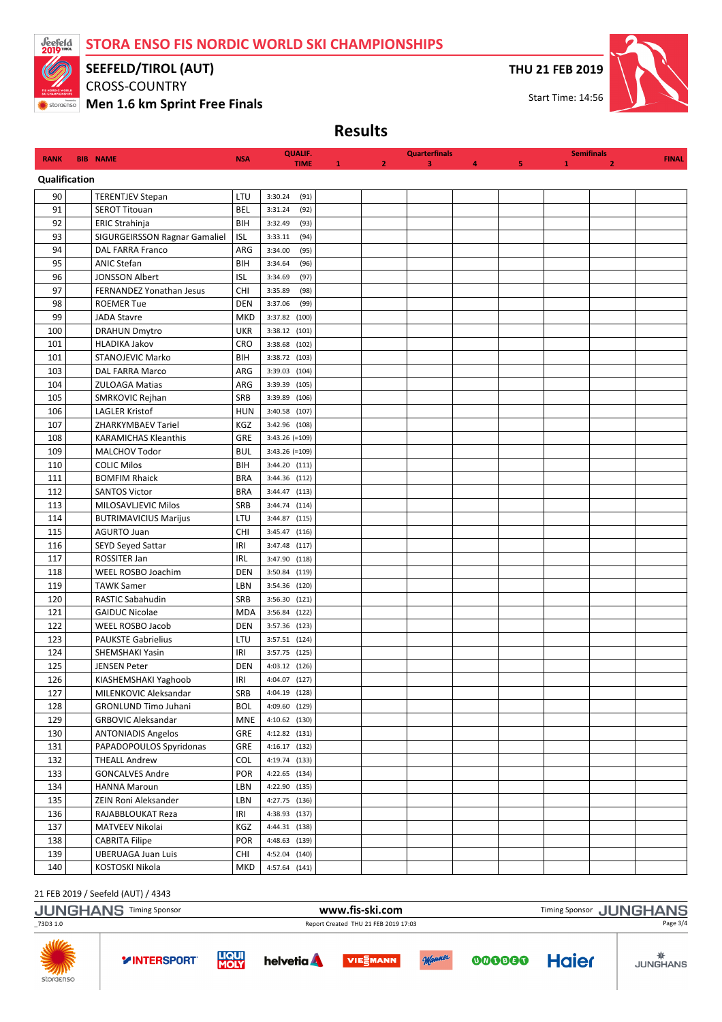

# SEEFELD/TIROL (AUT)

CROSS-COUNTRY

**Wen 1.6 km Sprint Free Finals** 

THU 21 FEB 2019



Results

| <b>RANK</b>   | <b>BIB NAME</b> |                                        | <b>NSA</b> | <b>QUALIF.</b>                 |             |   | <b>Quarterfinals</b> |   |   |   | <b>Semifinals</b> | <b>FINAL</b> |
|---------------|-----------------|----------------------------------------|------------|--------------------------------|-------------|---|----------------------|---|---|---|-------------------|--------------|
| Qualification |                 |                                        |            |                                | <b>TIME</b> | 2 | 3                    | 4 | 5 | 1 | $\overline{2}$    |              |
| 90            |                 | <b>TERENTJEV Stepan</b>                | LTU        | 3:30.24                        | (91)        |   |                      |   |   |   |                   |              |
| 91            |                 | <b>SEROT Titouan</b>                   | <b>BEL</b> | 3:31.24                        | (92)        |   |                      |   |   |   |                   |              |
| 92            |                 | ERIC Strahinja                         | BIH        | 3:32.49                        | (93)        |   |                      |   |   |   |                   |              |
| 93            |                 | SIGURGEIRSSON Ragnar Gamaliel          | <b>ISL</b> | 3:33.11                        | (94)        |   |                      |   |   |   |                   |              |
| 94            |                 | <b>DAL FARRA Franco</b>                | ARG        | 3:34.00                        | (95)        |   |                      |   |   |   |                   |              |
| 95            |                 | <b>ANIC Stefan</b>                     | BIH        | 3:34.64                        | (96)        |   |                      |   |   |   |                   |              |
| 96            |                 | <b>JONSSON Albert</b>                  | <b>ISL</b> | 3:34.69                        | (97)        |   |                      |   |   |   |                   |              |
| 97            |                 | FERNANDEZ Yonathan Jesus               | <b>CHI</b> | 3:35.89                        | (98)        |   |                      |   |   |   |                   |              |
| 98            |                 | <b>ROEMER Tue</b>                      | <b>DEN</b> | 3:37.06                        | (99)        |   |                      |   |   |   |                   |              |
| 99            |                 | <b>JADA Stavre</b>                     | <b>MKD</b> | 3:37.82 (100)                  |             |   |                      |   |   |   |                   |              |
| 100           |                 | <b>DRAHUN Dmytro</b>                   | <b>UKR</b> | 3:38.12 (101)                  |             |   |                      |   |   |   |                   |              |
| 101           |                 | <b>HLADIKA Jakov</b>                   | <b>CRO</b> | 3:38.68                        | (102)       |   |                      |   |   |   |                   |              |
| 101           |                 | <b>STANOJEVIC Marko</b>                | BIH        | 3:38.72 (103)                  |             |   |                      |   |   |   |                   |              |
| 103           |                 | <b>DAL FARRA Marco</b>                 | ARG        | 3:39.03                        | (104)       |   |                      |   |   |   |                   |              |
| 104           |                 | <b>ZULOAGA Matias</b>                  | ARG        | 3:39.39 (105)                  |             |   |                      |   |   |   |                   |              |
| 105           |                 | SMRKOVIC Rejhan                        | SRB        | 3:39.89 (106)                  |             |   |                      |   |   |   |                   |              |
| 106           |                 | <b>LAGLER Kristof</b>                  | <b>HUN</b> | 3:40.58 (107)                  |             |   |                      |   |   |   |                   |              |
| 107           |                 | <b>ZHARKYMBAEV Tariel</b>              | KGZ        | 3:42.96 (108)                  |             |   |                      |   |   |   |                   |              |
| 108           |                 | <b>KARAMICHAS Kleanthis</b>            | GRE        | 3:43.26 (=109)                 |             |   |                      |   |   |   |                   |              |
| 109           |                 | MALCHOV Todor                          | <b>BUL</b> | 3:43.26 (=109)                 |             |   |                      |   |   |   |                   |              |
| 110           |                 | <b>COLIC Milos</b>                     | BIH        | 3:44.20 (111)                  |             |   |                      |   |   |   |                   |              |
| 111           |                 | <b>BOMFIM Rhaick</b>                   | <b>BRA</b> | 3:44.36 (112)                  |             |   |                      |   |   |   |                   |              |
| 112           |                 | <b>SANTOS Victor</b>                   | <b>BRA</b> | 3:44.47 (113)                  |             |   |                      |   |   |   |                   |              |
| 113           |                 | MILOSAVLJEVIC Milos                    | SRB        | 3:44.74 (114)                  |             |   |                      |   |   |   |                   |              |
| 114           |                 | <b>BUTRIMAVICIUS Marijus</b>           | LTU        | 3:44.87                        | (115)       |   |                      |   |   |   |                   |              |
| 115           |                 | <b>AGURTO Juan</b>                     | <b>CHI</b> | 3:45.47 (116)                  |             |   |                      |   |   |   |                   |              |
| 116           |                 | <b>SEYD Seyed Sattar</b>               | IRI        | 3:47.48 (117)                  |             |   |                      |   |   |   |                   |              |
| 117           |                 | ROSSITER Jan                           | <b>IRL</b> | 3:47.90 (118)                  |             |   |                      |   |   |   |                   |              |
| 118           |                 | WEEL ROSBO Joachim                     | <b>DEN</b> | 3:50.84 (119)                  |             |   |                      |   |   |   |                   |              |
| 119           |                 | <b>TAWK Samer</b>                      | LBN        | 3:54.36 (120)                  |             |   |                      |   |   |   |                   |              |
| 120           |                 | RASTIC Sabahudin                       | SRB        | 3:56.30 (121)                  |             |   |                      |   |   |   |                   |              |
| 121           |                 | <b>GAIDUC Nicolae</b>                  | <b>MDA</b> | 3:56.84 (122)                  |             |   |                      |   |   |   |                   |              |
| 122           |                 | <b>WEEL ROSBO Jacob</b>                | <b>DEN</b> | 3:57.36 (123)                  |             |   |                      |   |   |   |                   |              |
| 123           |                 | <b>PAUKSTE Gabrielius</b>              | LTU        | 3:57.51 (124)                  |             |   |                      |   |   |   |                   |              |
| 124           |                 | SHEMSHAKI Yasin                        | IRI        | 3:57.75 (125)                  |             |   |                      |   |   |   |                   |              |
| 125           |                 | <b>JENSEN Peter</b>                    | <b>DEN</b> | 4:03.12 (126)                  |             |   |                      |   |   |   |                   |              |
| 126           |                 | KIASHEMSHAKI Yaghoob                   | IRI        | 4:04.07 (127)                  |             |   |                      |   |   |   |                   |              |
| $127\,$       |                 | MILENKOVIC Aleksandar                  | SRB        | 4:04.19 (128)                  |             |   |                      |   |   |   |                   |              |
| 128           |                 | <b>GRONLUND Timo Juhani</b>            | <b>BOL</b> | 4:09.60 (129)                  |             |   |                      |   |   |   |                   |              |
| 129           |                 | <b>GRBOVIC Aleksandar</b>              | <b>MNE</b> | 4:10.62 (130)                  |             |   |                      |   |   |   |                   |              |
| 130           |                 | <b>ANTONIADIS Angelos</b>              | GRE        | 4:12.82 (131)                  |             |   |                      |   |   |   |                   |              |
| 131           |                 | PAPADOPOULOS Spyridonas                | GRE        | 4:16.17 (132)                  |             |   |                      |   |   |   |                   |              |
| 132           |                 | <b>THEALL Andrew</b>                   | COL        | 4:19.74 (133)                  |             |   |                      |   |   |   |                   |              |
| 133           |                 | <b>GONCALVES Andre</b><br>HANNA Maroun | POR        | 4:22.65 (134)                  |             |   |                      |   |   |   |                   |              |
| 134<br>135    |                 |                                        | LBN        | 4:22.90 (135)                  |             |   |                      |   |   |   |                   |              |
|               |                 | ZEIN Roni Aleksander                   | LBN        | 4:27.75 (136)<br>4:38.93 (137) |             |   |                      |   |   |   |                   |              |
| 136<br>137    |                 | RAJABBLOUKAT Reza<br>MATVEEV Nikolai   | IRI<br>KGZ | 4:44.31 (138)                  |             |   |                      |   |   |   |                   |              |
| 138           |                 | <b>CABRITA Filipe</b>                  | <b>POR</b> | 4:48.63 (139)                  |             |   |                      |   |   |   |                   |              |
| 139           |                 | <b>UBERUAGA Juan Luis</b>              | CHI        | 4:52.04 (140)                  |             |   |                      |   |   |   |                   |              |
| 140           |                 | KOSTOSKI Nikola                        | MKD        | 4:57.64 (141)                  |             |   |                      |   |   |   |                   |              |
|               |                 |                                        |            |                                |             |   |                      |   |   |   |                   |              |

|                  | <b>JUNGHANS Timing Sponsor</b> |                             |                   | www.fis-ski.com                      |        |        | Timing Sponsor JUNGHANS |                 |
|------------------|--------------------------------|-----------------------------|-------------------|--------------------------------------|--------|--------|-------------------------|-----------------|
| _73D3 1.0        |                                |                             |                   | Report Created THU 21 FEB 2019 17:03 |        |        |                         | Page 3/4        |
| ZAN<br>storaenso | <b>YINTERSPORT</b>             | <b>LIQUI</b><br><b>MOLY</b> | helvetia <b>A</b> | <b>VIESMANN</b>                      | Manner | 000000 | <b>Haier</b>            | <b>JUNGHANS</b> |